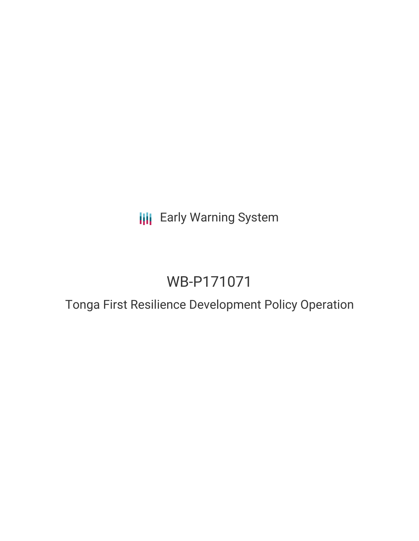**III** Early Warning System

# WB-P171071

## Tonga First Resilience Development Policy Operation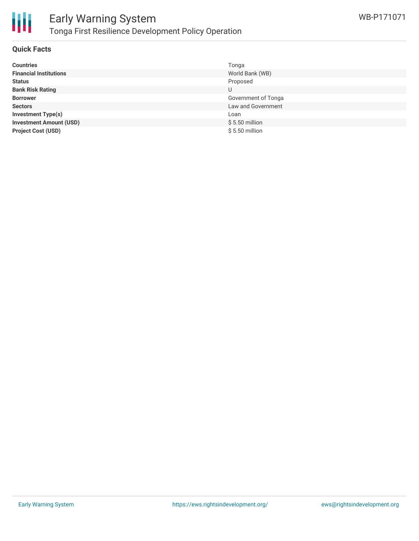



#### **Quick Facts**

| <b>Countries</b>               | Tonga               |
|--------------------------------|---------------------|
| <b>Financial Institutions</b>  | World Bank (WB)     |
| <b>Status</b>                  | Proposed            |
| <b>Bank Risk Rating</b>        | U                   |
| <b>Borrower</b>                | Government of Tonga |
| <b>Sectors</b>                 | Law and Government  |
| <b>Investment Type(s)</b>      | Loan                |
| <b>Investment Amount (USD)</b> | $$5.50$ million     |
| <b>Project Cost (USD)</b>      | $$5.50$ million     |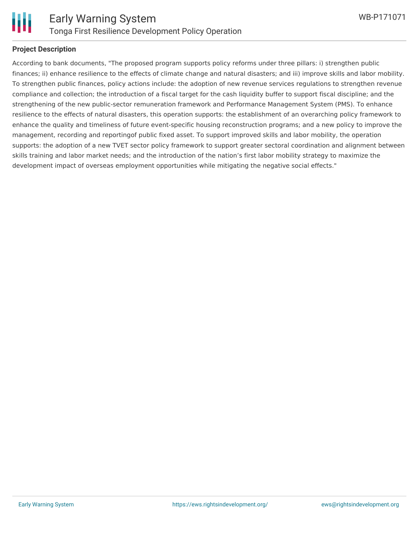

#### **Project Description**

According to bank documents, "The proposed program supports policy reforms under three pillars: i) strengthen public finances; ii) enhance resilience to the effects of climate change and natural disasters; and iii) improve skills and labor mobility. To strengthen public finances, policy actions include: the adoption of new revenue services regulations to strengthen revenue compliance and collection; the introduction of a fiscal target for the cash liquidity buffer to support fiscal discipline; and the strengthening of the new public-sector remuneration framework and Performance Management System (PMS). To enhance resilience to the effects of natural disasters, this operation supports: the establishment of an overarching policy framework to enhance the quality and timeliness of future event-specific housing reconstruction programs; and a new policy to improve the management, recording and reportingof public fixed asset. To support improved skills and labor mobility, the operation supports: the adoption of a new TVET sector policy framework to support greater sectoral coordination and alignment between skills training and labor market needs; and the introduction of the nation's first labor mobility strategy to maximize the development impact of overseas employment opportunities while mitigating the negative social effects."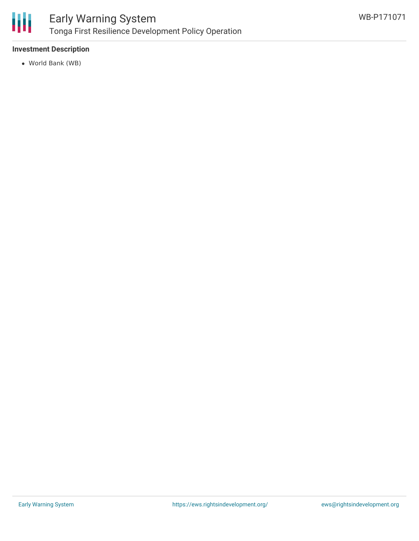

## Early Warning System Tonga First Resilience Development Policy Operation

#### **Investment Description**

World Bank (WB)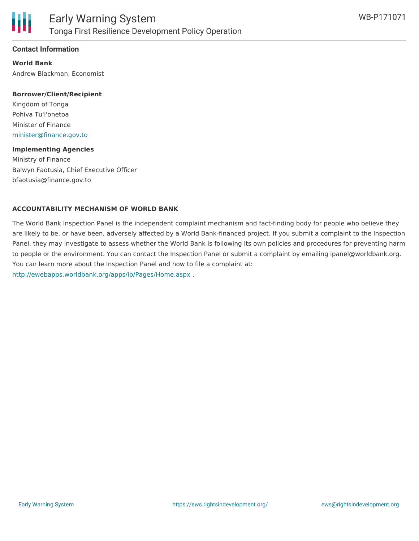

#### **Contact Information**

**World Bank** Andrew Blackman, Economist

#### **Borrower/Client/Recipient**

Kingdom of Tonga Pohiva Tu'i'onetoa Minister of Finance [minister@finance.gov.to](mailto:minister@finance.gov.to)

#### **Implementing Agencies**

Ministry of Finance Balwyn Faotusia, Chief Executive Officer bfaotusia@finance.gov.to

#### **ACCOUNTABILITY MECHANISM OF WORLD BANK**

The World Bank Inspection Panel is the independent complaint mechanism and fact-finding body for people who believe they are likely to be, or have been, adversely affected by a World Bank-financed project. If you submit a complaint to the Inspection Panel, they may investigate to assess whether the World Bank is following its own policies and procedures for preventing harm to people or the environment. You can contact the Inspection Panel or submit a complaint by emailing ipanel@worldbank.org. You can learn more about the Inspection Panel and how to file a complaint at: <http://ewebapps.worldbank.org/apps/ip/Pages/Home.aspx> .